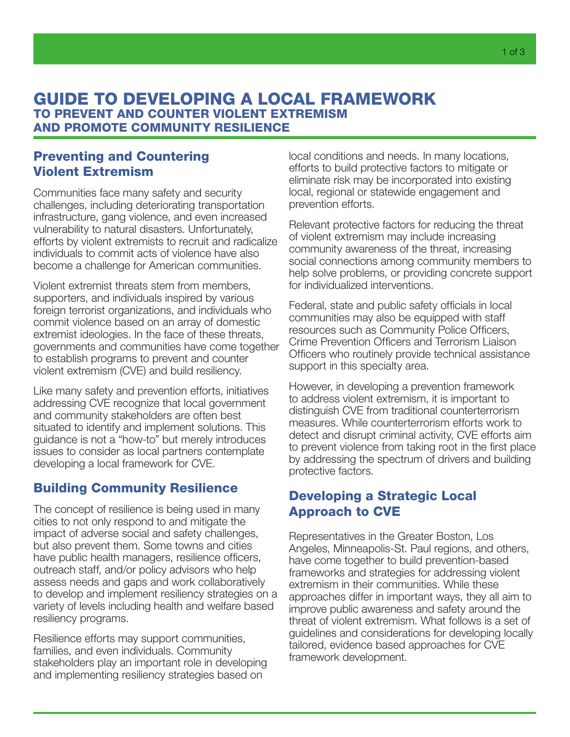# Preventing and Countering Violent Extremism

Communities face many safety and security challenges, including deteriorating transportation infrastructure, gang violence, and even increased vulnerability to natural disasters. Unfortunately, efforts by violent extremists to recruit and radicalize individuals to commit acts of violence have also become a challenge for American communities.

Violent extremist threats stem from members, supporters, and individuals inspired by various foreign terrorist organizations, and individuals who commit violence based on an array of domestic extremist ideologies. In the face of these threats, governments and communities have come together to establish programs to prevent and counter violent extremism (CVE) and build resiliency.

Like many safety and prevention efforts, initiatives addressing CVE recognize that local government and community stakeholders are often best situated to identify and implement solutions. This guidance is not a "how-to" but merely introduces issues to consider as local partners contemplate developing a local framework for CVE.

# Building Community Resilience

The concept of resilience is being used in many cities to not only respond to and mitigate the impact of adverse social and safety challenges, but also prevent them. Some towns and cities have public health managers, resilience officers, outreach staff, and/or policy advisors who help assess needs and gaps and work collaboratively to develop and implement resiliency strategies on a variety of levels including health and welfare based resiliency programs.

Resilience efforts may support communities, families, and even individuals. Community stakeholders play an important role in developing and implementing resiliency strategies based on

local conditions and needs. In many locations, efforts to build protective factors to mitigate or eliminate risk may be incorporated into existing local, regional or statewide engagement and prevention efforts.

Relevant protective factors for reducing the threat of violent extremism may include increasing community awareness of the threat, increasing social connections among community members to help solve problems, or providing concrete support for individualized interventions.

Federal, state and public safety officials in local communities may also be equipped with staff resources such as Community Police Officers, Crime Prevention Officers and Terrorism Liaison Officers who routinely provide technical assistance support in this specialty area.

However, in developing a prevention framework to address violent extremism, it is important to distinguish CVE from traditional counterterrorism measures. While counterterrorism efforts work to detect and disrupt criminal activity, CVE efforts aim to prevent violence from taking root in the first place by addressing the spectrum of drivers and building protective factors.

# Developing a Strategic Local Approach to CVE

Representatives in the Greater Boston, Los Angeles, Minneapolis-St. Paul regions, and others, have come together to build prevention-based frameworks and strategies for addressing violent extremism in their communities. While these approaches differ in important ways, they all aim to improve public awareness and safety around the threat of violent extremism. What follows is a set of guidelines and considerations for developing locally tailored, evidence based approaches for CVE framework development.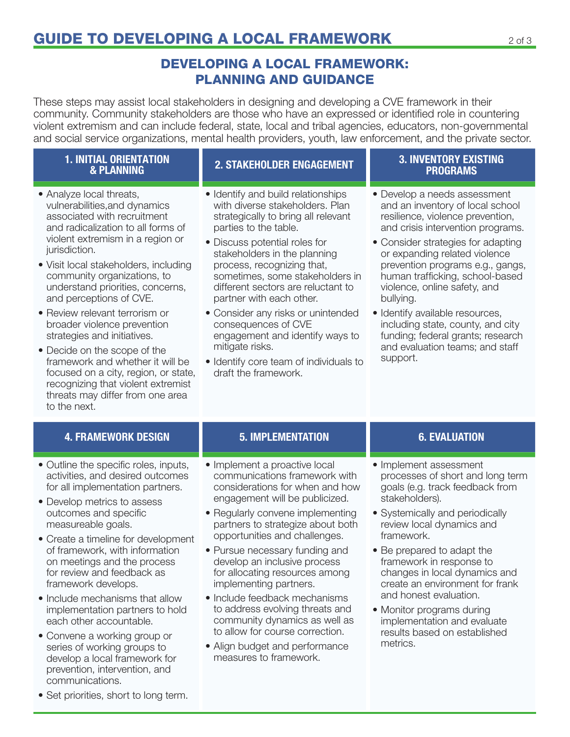# DEVELOPING A LOCAL FRAMEWORK: PLANNING AND GUIDANCE

These steps may assist local stakeholders in designing and developing a CVE framework in their community. Community stakeholders are those who have an expressed or identified role in countering violent extremism and can include federal, state, local and tribal agencies, educators, non-governmental and social service organizations, mental health providers, youth, law enforcement, and the private sector.

# 1. INITIAL ORIENTATION<br>& PLANNING

- Analyze local threats, vulnerabilities,and dynamics associated with recruitment and radicalization to all forms of violent extremism in a region or jurisdiction.
- Visit local stakeholders, including community organizations, to understand priorities, concerns, and perceptions of CVE.
- Review relevant terrorism or broader violence prevention strategies and initiatives.
- Decide on the scope of the framework and whether it will be focused on a city, region, or state, recognizing that violent extremist threats may differ from one area to the next.

- Identify and build relationships with diverse stakeholders. Plan strategically to bring all relevant parties to the table.
- Discuss potential roles for stakeholders in the planning process, recognizing that, sometimes, some stakeholders in different sectors are reluctant to partner with each other.
- Consider any risks or unintended consequences of CVE engagement and identify ways to mitigate risks.
- Identify core team of individuals to draft the framework.

### 2. STAKEHOLDER ENGAGEMENT 3. INVENTORY EXISTING PROGRAMS

- Develop a needs assessment and an inventory of local school resilience, violence prevention, and crisis intervention programs.
- Consider strategies for adapting or expanding related violence prevention programs e.g., gangs, human trafficking, school-based violence, online safety, and bullying.
- Identify available resources, including state, county, and city funding; federal grants; research and evaluation teams; and staff support.

# 4. FRAMEWORK DESIGN 5. IMPLEMENTATION 6. EVALUATION

- Outline the specific roles, inputs, activities, and desired outcomes for all implementation partners.
- Develop metrics to assess outcomes and specific measureable goals.
- Create a timeline for development of framework, with information on meetings and the process for review and feedback as framework develops.
- Include mechanisms that allow implementation partners to hold each other accountable.
- Convene a working group or series of working groups to develop a local framework for prevention, intervention, and communications.

- Implement a proactive local communications framework with considerations for when and how engagement will be publicized.
- Regularly convene implementing partners to strategize about both opportunities and challenges.
- Pursue necessary funding and develop an inclusive process for allocating resources among implementing partners.
- Include feedback mechanisms to address evolving threats and community dynamics as well as to allow for course correction.
- Align budget and performance measures to framework.

- Implement assessment processes of short and long term goals (e.g. track feedback from stakeholders).
- Systemically and periodically review local dynamics and framework.
- Be prepared to adapt the framework in response to changes in local dynamics and create an environment for frank and honest evaluation.
- Monitor programs during implementation and evaluate results based on established metrics.

• Set priorities, short to long term.